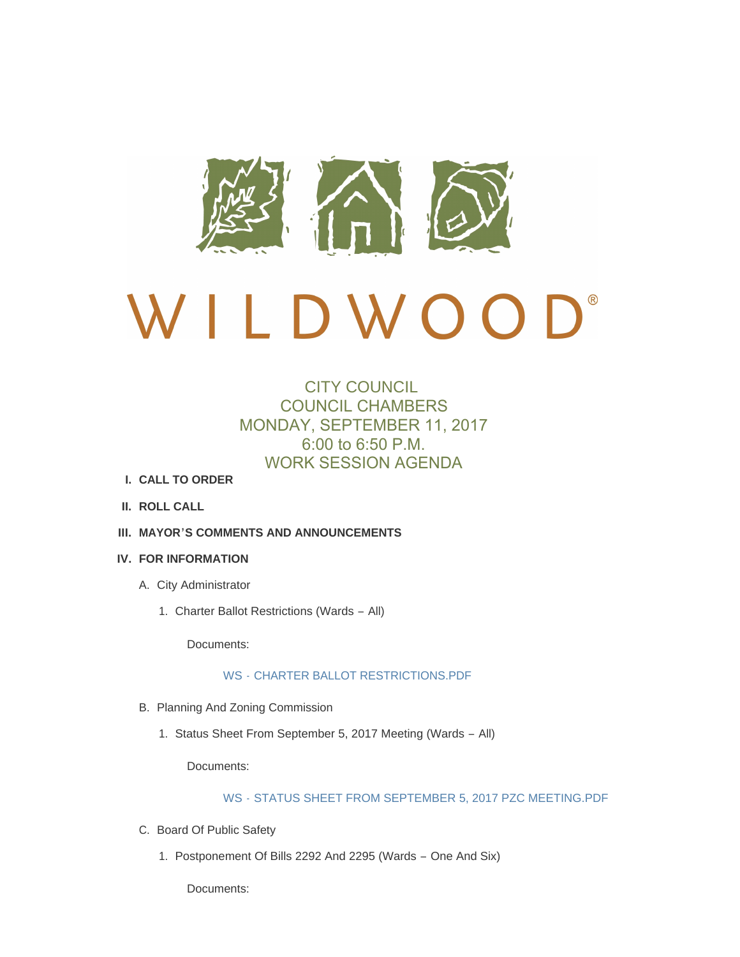

# $\bigcup$ ® DWOO

# CITY COUNCIL COUNCIL CHAMBERS MONDAY, SEPTEMBER 11, 2017 6:00 to 6:50 P.M. WORK SESSION AGENDA

- **CALL TO ORDER I.**
- **ROLL CALL II.**
- **MAYOR'S COMMENTS AND ANNOUNCEMENTS III.**

#### **FOR INFORMATION IV.**

- A. City Administrator
	- Charter Ballot Restrictions (Wards All) 1.

Documents:

## WS - [CHARTER BALLOT RESTRICTIONS.PDF](http://cityofwildwood.com/AgendaCenter/ViewFile/Item/12249?fileID=17587)

- B. Planning And Zoning Commission
	- 1. Status Sheet From September 5, 2017 Meeting (Wards All)

Documents:

### WS - [STATUS SHEET FROM SEPTEMBER 5, 2017 PZC MEETING.PDF](http://cityofwildwood.com/AgendaCenter/ViewFile/Item/12251?fileID=17588)

- C. Board Of Public Safety
	- 1. Postponement Of Bills 2292 And 2295 (Wards One And Six)

Documents: